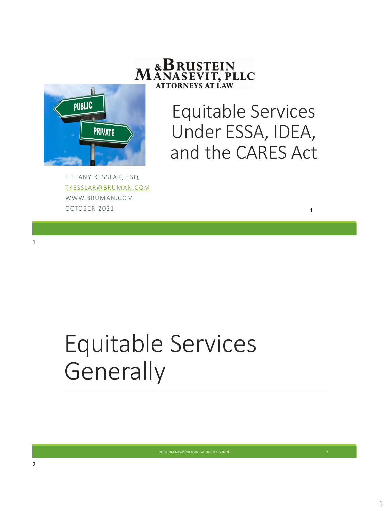

# Equitable Services Under ESSA, IDEA, and the CARES Act

1

TIFFANY KESSLAR, ESQ. [TKESSLAR@BRUMAN.COM](mailto:tkesslar@bruman.com) WWW.BRUMAN.COM OCTOBER 2021

Equitable Services **Generally**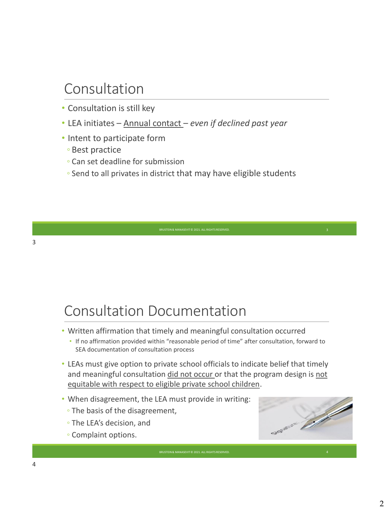## Consultation

- Consultation is still key
- LEA initiates Annual contact *even if declined past year*
- Intent to participate form
	- Best practice
	- Can set deadline for submission
	- Send to all privates in district that may have eligible students

## Consultation Documentation

- Written affirmation that timely and meaningful consultation occurred
	- If no affirmation provided within "reasonable period of time" after consultation, forward to SEA documentation of consultation process
- LEAs must give option to private school officials to indicate belief that timely and meaningful consultation did not occur or that the program design is not equitable with respect to eligible private school children.

BRUSTEIN & MANASEVIT © 2021. ALL RIGHTS RESERVED

- When disagreement, the LEA must provide in writing:
	- The basis of the disagreement,
	- The LEA's decision, and
	- Complaint options.

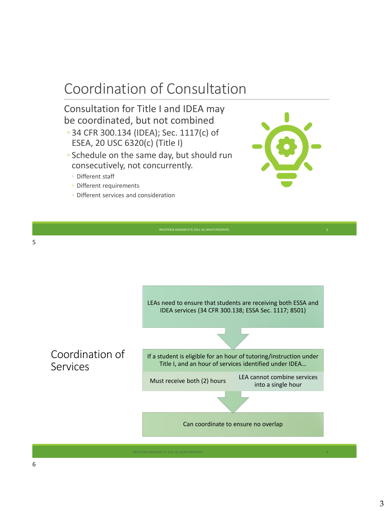# Coordination of Consultation

#### Consultation for Title I and IDEA may be coordinated, but not combined

- 34 CFR 300.134 (IDEA); Sec. 1117(c) of ESEA, 20 USC 6320(c) (Title I)
- Schedule on the same day, but should run consecutively, not concurrently.
	- Different staff
	- Different requirements
	- Different services and consideration



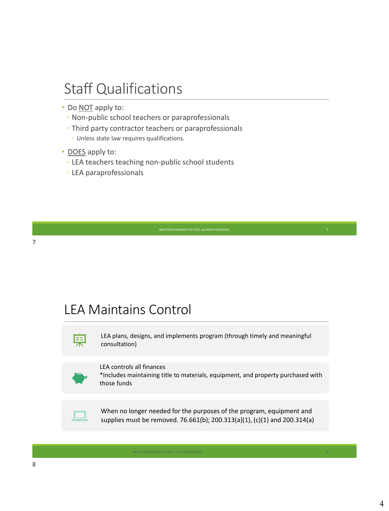### Staff Qualifications

- Do **NOT** apply to:
	- Non-public school teachers or paraprofessionals
	- Third party contractor teachers or paraprofessionals
		- Unless state law requires qualifications.
- DOES apply to:
	- LEA teachers teaching non-public school students
	- LEA paraprofessionals

### LEA Maintains Control



LEA plans, designs, and implements program (through timely and meaningful consultation)

#### LEA controls all finances

\*Includes maintaining title to materials, equipment, and property purchased with those funds



When no longer needed for the purposes of the program, equipment and supplies must be removed. 76.661(b); 200.313(a)(1), (c)(1) and 200.314(a)

BRUSTEIN & MANASEVIT © 2021. ALL RIGHTS RESERVED. 8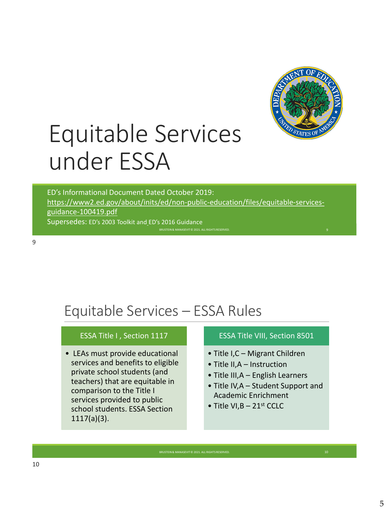

# Equitable Services under ESSA

BRUSTEIN & MANASEVIT © 2021. ALL RIGHTS RESER ED's Informational Document Dated October 2019: [https://www2.ed.gov/about/inits/ed/non-public-education/files/equitable-services](https://www2.ed.gov/about/inits/ed/non-public-education/files/equitable-services-guidance-100419.pdf)guidance-100419.pdf Supersedes: ED's 2003 Toolkit and ED's 2016 Guidance

BRUSTEIN & MANASEVIT © 2021. ALL RIGHTS RESERVE

# Equitable Services – ESSA Rules

#### ESSA Title I , Section 1117

• LEAs must provide educational services and benefits to eligible private school students (and teachers) that are equitable in comparison to the Title I services provided to public school students. ESSA Section 1117(a)(3).

#### ESSA Title VIII, Section 8501

- Title I,C Migrant Children
- Title II,A Instruction
- Title III,A English Learners
- Title IV,A Student Support and Academic Enrichment
- Title VI,  $B 21$ <sup>st</sup> CCLC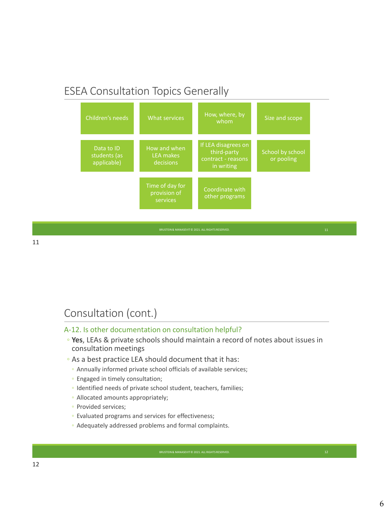### ESEA Consultation Topics Generally

| Children's needs                          | What services                                 | How, where, by<br>whom                                                 | Size and scope                 |
|-------------------------------------------|-----------------------------------------------|------------------------------------------------------------------------|--------------------------------|
| Data to ID<br>students (as<br>applicable) | How and when<br><b>LEA</b> makes<br>decisions | If LEA disagrees on<br>third-party<br>contract - reasons<br>in writing | School by school<br>or pooling |
|                                           | Time of day for<br>provision of<br>services   | Coordinate with<br>other programs                                      |                                |

11

#### Consultation (cont.)

#### A-12. Is other documentation on consultation helpful?

◦ **Yes**, LEAs & private schools should maintain a record of notes about issues in consultation meetings

- As a best practice LEA should document that it has:
	- Annually informed private school officials of available services;
	- Engaged in timely consultation;
	- Identified needs of private school student, teachers, families;
	- Allocated amounts appropriately;
	- Provided services;
	- Evaluated programs and services for effectiveness;
	- Adequately addressed problems and formal complaints.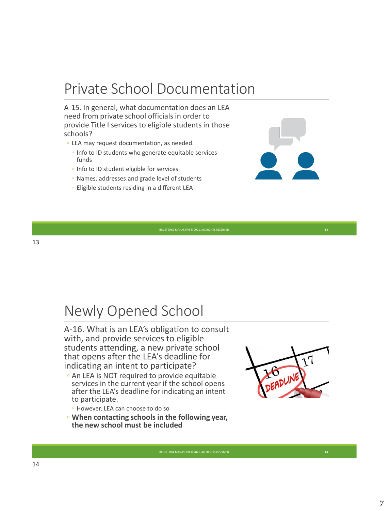## Private School Documentation

A-15. In general, what documentation does an LEA need from private school officials in order to provide Title I services to eligible students in those schools?

- LEA may request documentation, as needed.
	- Info to ID students who generate equitable services funds
	- Info to ID student eligible for services
	- Names, addresses and grade level of students
	- Eligible students residing in a different LEA

BRUSTEIN & MANASEVIT © 2021. ALL RIGHTS RESERVED

13

### Newly Opened School

A-16. What is an LEA's obligation to consult with, and provide services to eligible students attending, a new private school that opens after the LEA's deadline for indicating an intent to participate?

- An LEA is NOT required to provide equitable services in the current year if the school opens after the LEA's deadline for indicating an intent to participate.
	- However, LEA can choose to do so
- **When contacting schools in the following year, the new school must be included**

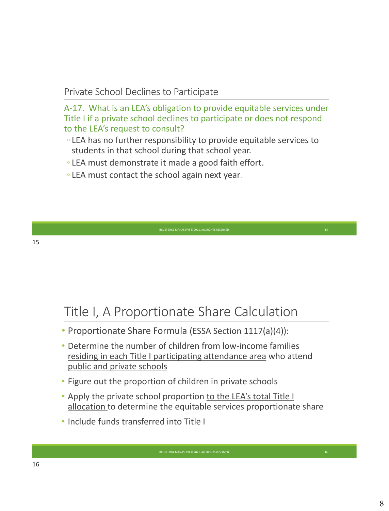#### Private School Declines to Participate

A-17. What is an LEA's obligation to provide equitable services under Title I if a private school declines to participate or does not respond to the LEA's request to consult?

- LEA has no further responsibility to provide equitable services to students in that school during that school year.
- LEA must demonstrate it made a good faith effort.
- LEA must contact the school again next year.

### Title I, A Proportionate Share Calculation

- Proportionate Share Formula (ESSA Section 1117(a)(4)):
- Determine the number of children from low-income families residing in each Title I participating attendance area who attend public and private schools
- Figure out the proportion of children in private schools
- Apply the private school proportion to the LEA's total Title I allocation to determine the equitable services proportionate share

BRUSTEIN & MANASEVIT © 2021. ALL RIGHTS RESERVED

• Include funds transferred into Title I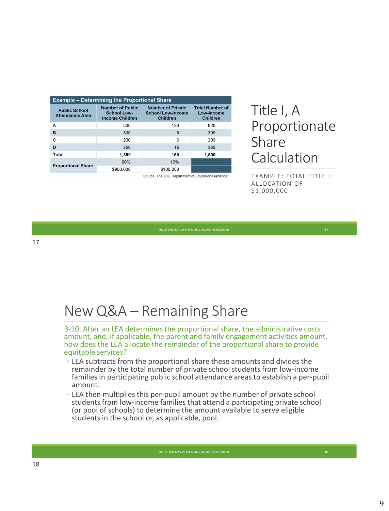| <b>Example - Determining the Proportional Share</b> |                                                                         |                                                                         |                                                         |  |  |
|-----------------------------------------------------|-------------------------------------------------------------------------|-------------------------------------------------------------------------|---------------------------------------------------------|--|--|
| <b>Public School</b><br><b>Attendance Area</b>      | <b>Number of Public</b><br><b>School Low-</b><br><b>Income Children</b> | <b>Number of Private</b><br><b>School Low-Income</b><br><b>Children</b> | <b>Total Number of</b><br>Low-Income<br><b>Children</b> |  |  |
| A                                                   | 500                                                                     | 120                                                                     | 620                                                     |  |  |
| B                                                   | 300                                                                     | 9                                                                       | 309                                                     |  |  |
| c                                                   | 200                                                                     | 6                                                                       | 206                                                     |  |  |
| D                                                   | 350                                                                     | 15                                                                      | 365                                                     |  |  |
| Total                                               | 1,350                                                                   | 150                                                                     | 1,500                                                   |  |  |
|                                                     | 90%                                                                     | 10%                                                                     |                                                         |  |  |
| <b>Proportional Share</b>                           | \$900,000                                                               | \$100,000                                                               |                                                         |  |  |
|                                                     | Source: The U.S. Department of Education Guidance <sup>1</sup>          |                                                                         |                                                         |  |  |

### Title I, A Proportionate Share Calculation

EXAMPLE: TOTAL TITLE I ALLOCATION OF \$1,000,000

### New Q&A – Remaining Share

B-10. After an LEA determines the proportional share, the administrative costs amount, and, if applicable, the parent and family engagement activities amount, how does the LEA allocate the remainder of the proportional share to provide equitable services?

- LEA subtracts from the proportional share these amounts and divides the remainder by the total number of private school students from low-income families in participating public school attendance areas to establish a per-pupil amount.
- LEA then multiplies this per-pupil amount by the number of private school students from low-income families that attend a participating private school (or pool of schools) to determine the amount available to serve eligible students in the school or, as applicable, pool.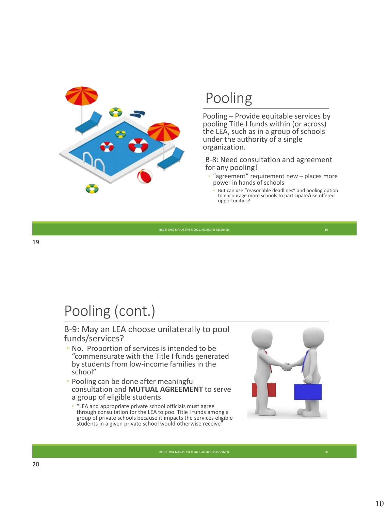

# Pooling

Pooling – Provide equitable services by pooling Title I funds within (or across) the LEA, such as in a group of schools under the authority of a single organization.

B-8: Need consultation and agreement for any pooling!

- "agreement" requirement new places more power in hands of schools
	- But can use "reasonable deadlines" and pooling option to encourage more schools to participate/use offered opportunities?

BRUSTEIN & MANASEVIT © 2021. ALL RIGHTS RESERVED

# Pooling (cont.)

#### B-9: May an LEA choose unilaterally to pool funds/services?

- No. Proportion of services is intended to be "commensurate with the Title I funds generated by students from low-income families in the school"
- Pooling can be done after meaningful consultation and **MUTUAL AGREEMENT** to serve a group of eligible students
	- "LEA and appropriate private school officials must agree through consultation for the LEA to pool Title I funds among a group of private schools because it impacts the services eligible students in a given private school would otherwise receive"

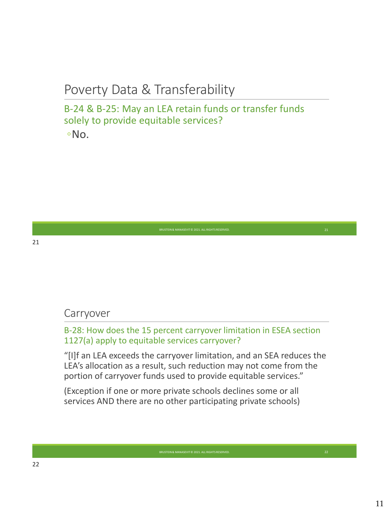### Poverty Data & Transferability

#### B-24 & B-25: May an LEA retain funds or transfer funds solely to provide equitable services? ◦No.

#### Carryover

B-28: How does the 15 percent carryover limitation in ESEA section 1127(a) apply to equitable services carryover?

"[I]f an LEA exceeds the carryover limitation, and an SEA reduces the LEA's allocation as a result, such reduction may not come from the portion of carryover funds used to provide equitable services."

BRUSTEIN & MANASEVIT © 2021. ALL RIGHTS RESERVED

(Exception if one or more private schools declines some or all services AND there are no other participating private schools)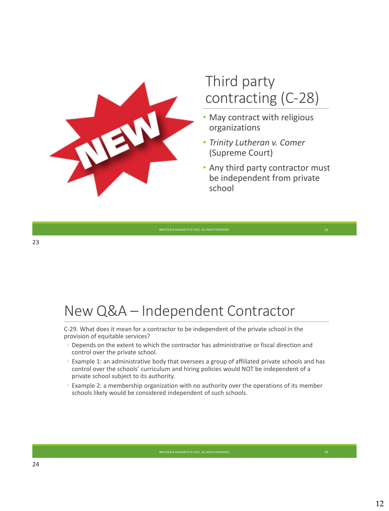

## Third party contracting (C-28)

- May contract with religious organizations
- *Trinity Lutheran v. Comer*  (Supreme Court)
- Any third party contractor must be independent from private school

### New Q&A – Independent Contractor

C-29. What does it mean for a contractor to be independent of the private school in the provision of equitable services?

- Depends on the extent to which the contractor has administrative or fiscal direction and control over the private school.
- Example 1: an administrative body that oversees a group of affiliated private schools and has control over the schools' curriculum and hiring policies would NOT be independent of a private school subject to its authority.
- Example 2: a membership organization with no authority over the operations of its member schools likely would be considered independent of such schools.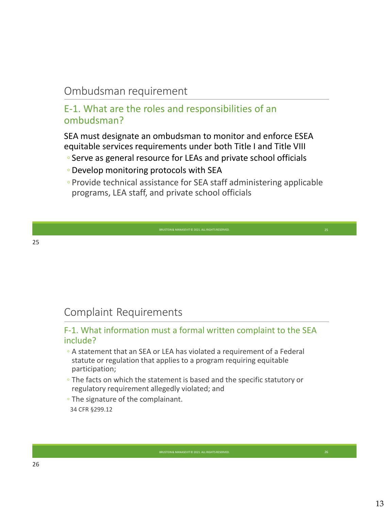### Ombudsman requirement

#### E-1. What are the roles and responsibilities of an ombudsman?

SEA must designate an ombudsman to monitor and enforce ESEA equitable services requirements under both Title I and Title VIII

- Serve as general resource for LEAs and private school officials
- Develop monitoring protocols with SEA
- Provide technical assistance for SEA staff administering applicable programs, LEA staff, and private school officials

### Complaint Requirements

#### F-1. What information must a formal written complaint to the SEA include?

- A statement that an SEA or LEA has violated a requirement of a Federal statute or regulation that applies to a program requiring equitable participation;
- The facts on which the statement is based and the specific statutory or regulatory requirement allegedly violated; and

BRUSTEIN & MANASEVIT © 2021. ALL RIGHTS RESERVED

◦ The signature of the complainant. 34 CFR §299.12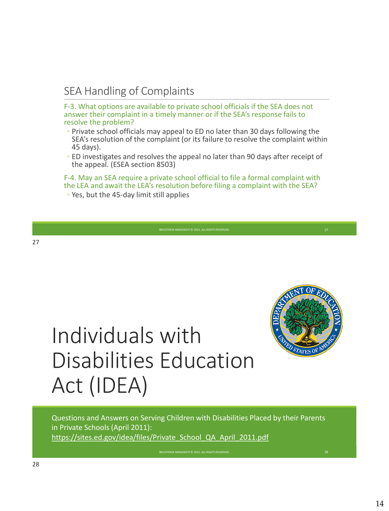### SEA Handling of Complaints

F-3. What options are available to private school officials if the SEA does not answer their complaint in a timely manner or if the SEA's response fails to resolve the problem?

- Private school officials may appeal to ED no later than 30 days following the SEA's resolution of the complaint (or its failure to resolve the complaint within 45 days).
- ED investigates and resolves the appeal no later than 90 days after receipt of the appeal. (ESEA section 8503)

F-4. May an SEA require a private school official to file a formal complaint with the LEA and await the LEA's resolution before filing a complaint with the SEA? ◦ Yes, but the 45-day limit still applies



# Individuals with Disabilities Education Act (IDEA)

Questions and Answers on Serving Children with Disabilities Placed by their Parents in Private Schools (April 2011): https://sites.ed.gov/idea/files/Private School QA April\_2011.pdf

BRUSTEIN & MANASEVIT © 2021. ALL RIGHTS RESERVED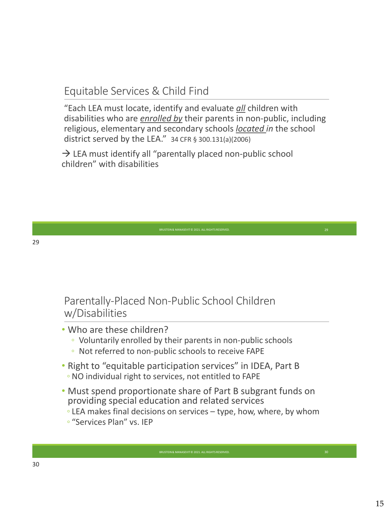### Equitable Services & Child Find

"Each LEA must locate, identify and evaluate *all* children with disabilities who are *enrolled by* their parents in non-public, including religious, elementary and secondary schools *located in* the school district served by the LEA." 34 CFR § 300.131(a)(2006)

 $\rightarrow$  LEA must identify all "parentally placed non-public school children" with disabilities

### Parentally-Placed Non-Public School Children w/Disabilities

#### • Who are these children?

- Voluntarily enrolled by their parents in non-public schools
- Not referred to non-public schools to receive FAPE
- Right to "equitable participation services" in IDEA, Part B ◦ NO individual right to services, not entitled to FAPE
- Must spend proportionate share of Part B subgrant funds on providing special education and related services
	- LEA makes final decisions on services type, how, where, by whom

BRUSTEIN & MANASEVIT © 2021. ALL RIGHTS RESERVED

◦ "Services Plan" vs. IEP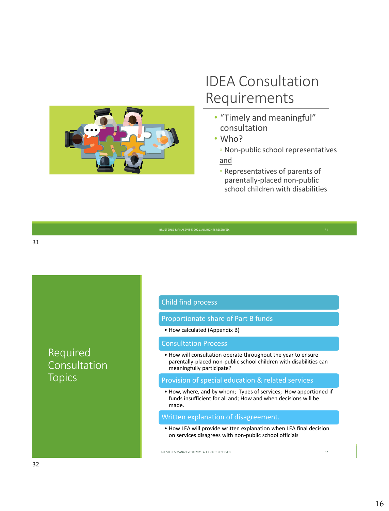

## IDEA Consultation Requirements

- "Timely and meaningful" consultation
- Who?
- Non-public school representatives and
- Representatives of parents of parentally-placed non-public school children with disabilities

| BRUSTEIN & MANASEVIT @ 2021. ALL RIGHTS RESERVED. |  |
|---------------------------------------------------|--|
|                                                   |  |

Required Consultation **Topics** 

#### Child find process

Proportionate share of Part B funds

• How calculated (Appendix B)

#### Consultation Process

• How will consultation operate throughout the year to ensure parentally-placed non-public school children with disabilities can meaningfully participate?

#### Provision of special education & related services

• How, where, and by whom; Types of services; How apportioned if funds insufficient for all and; How and when decisions will be made.

#### Written explanation of disagreement.

• How LEA will provide written explanation when LEA final decision on services disagrees with non-public school officials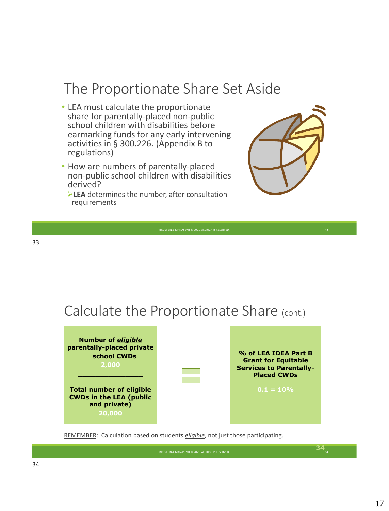## The Proportionate Share Set Aside

- LEA must calculate the proportionate share for parentally-placed non-public school children with disabilities before earmarking funds for any early intervening activities in § 300.226. (Appendix B to regulations)
- How are numbers of parentally-placed non-public school children with disabilities derived?
	- ➢**LEA** determines the number, after consultation requirements



### Calculate the Proportionate Share (cont.)



REMEMBER: Calculation based on students *eligible*, not just those participating.

 $34_{34}$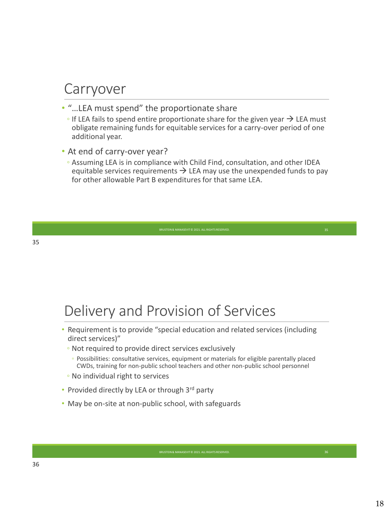### Carryover

- "…LEA must spend" the proportionate share
	- $\circ$  If LEA fails to spend entire proportionate share for the given year  $\rightarrow$  LEA must obligate remaining funds for equitable services for a carry-over period of one additional year.
- At end of carry-over year?
	- Assuming LEA is in compliance with Child Find, consultation, and other IDEA equitable services requirements  $\rightarrow$  LEA may use the unexpended funds to pay for other allowable Part B expenditures for that same LEA.

### Delivery and Provision of Services

- Requirement is to provide "special education and related services (including direct services)"
	- Not required to provide direct services exclusively
		- Possibilities: consultative services, equipment or materials for eligible parentally placed CWDs, training for non-public school teachers and other non-public school personnel

- No individual right to services
- Provided directly by LEA or through 3rd party
- May be on-site at non-public school, with safeguards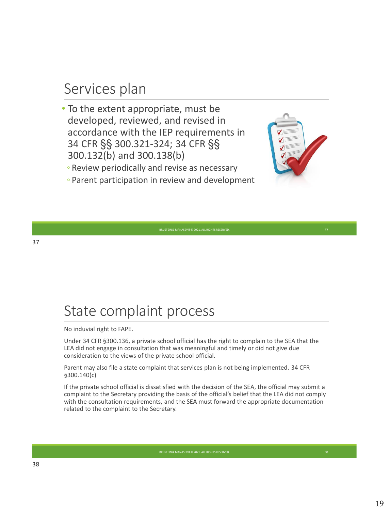### Services plan

- To the extent appropriate, must be developed, reviewed, and revised in accordance with the IEP requirements in 34 CFR §§ 300.321-324; 34 CFR §§ 300.132(b) and 300.138(b)
	- Review periodically and revise as necessary
	- Parent participation in review and development



# State complaint process

No induvial right to FAPE.

Under 34 CFR §300.136, a private school official has the right to complain to the SEA that the LEA did not engage in consultation that was meaningful and timely or did not give due consideration to the views of the private school official.

Parent may also file a state complaint that services plan is not being implemented. 34 CFR §300.140(c)

If the private school official is dissatisfied with the decision of the SEA, the official may submit a complaint to the Secretary providing the basis of the official's belief that the LEA did not comply with the consultation requirements, and the SEA must forward the appropriate documentation related to the complaint to the Secretary.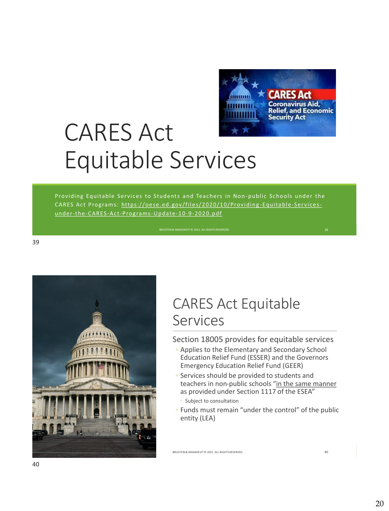

# CARES Act Equitable Services

Providing Equitable Services to Students and Teachers in Non-public Schools under the CARES Act Programs: https://oese.ed.gov/files/2020/10/Providing-Equitable-Servicesunder-the-CARES-Act-Programs-Update-10-9-2020.pdf



### CARES Act Equitable Services

Section 18005 provides for equitable services

- Applies to the Elementary and Secondary School Education Relief Fund (ESSER) and the Governors Emergency Education Relief Fund (GEER)
- Services should be provided to students and teachers in non-public schools "in the same manner as provided under Section 1117 of the ESEA"
	- Subject to consultation
- Funds must remain "under the control" of the public entity (LEA)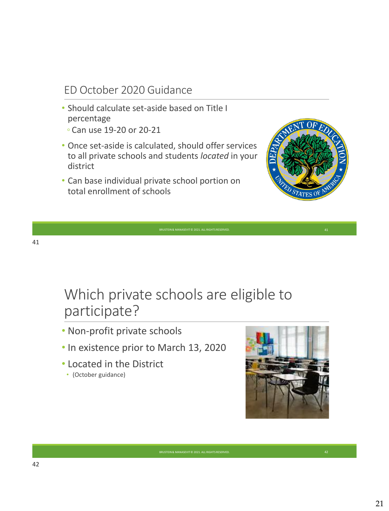### ED October 2020 Guidance

- Should calculate set-aside based on Title I percentage ◦ Can use 19-20 or 20-21
- 
- Once set-aside is calculated, should offer services to all private schools and students *located* in your district
- Can base individual private school portion on total enrollment of schools



## Which private schools are eligible to participate?

BRUSTEIN & MANASEVIT © 2021. ALL RIGHTS RESERVED

- Non-profit private schools
- In existence prior to March 13, 2020
- Located in the District
	- (October guidance)

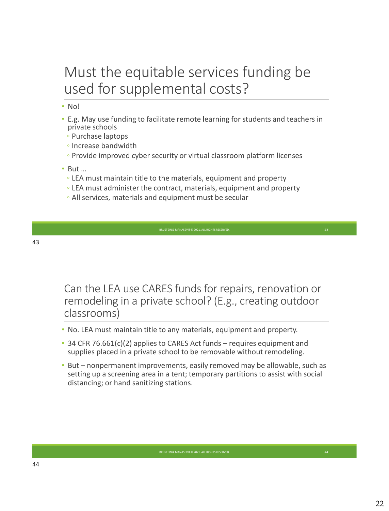## Must the equitable services funding be used for supplemental costs?

- No!
- E.g. May use funding to facilitate remote learning for students and teachers in private schools
	- Purchase laptops
	- Increase bandwidth
	- Provide improved cyber security or virtual classroom platform licenses
- But …
	- LEA must maintain title to the materials, equipment and property
	- LEA must administer the contract, materials, equipment and property
	- All services, materials and equipment must be secular

Can the LEA use CARES funds for repairs, renovation or remodeling in a private school? (E.g., creating outdoor classrooms)

- No. LEA must maintain title to any materials, equipment and property.
- 34 CFR 76.661(c)(2) applies to CARES Act funds requires equipment and supplies placed in a private school to be removable without remodeling.
- But nonpermanent improvements, easily removed may be allowable, such as setting up a screening area in a tent; temporary partitions to assist with social distancing; or hand sanitizing stations.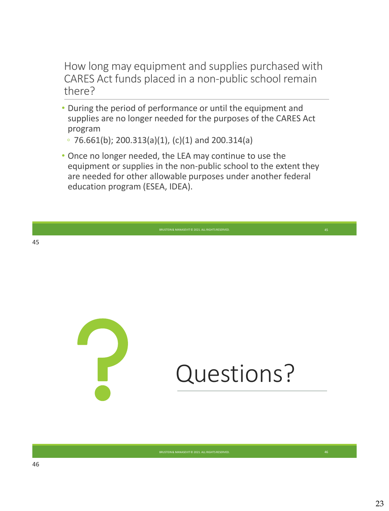How long may equipment and supplies purchased with CARES Act funds placed in a non-public school remain there?

- During the period of performance or until the equipment and supplies are no longer needed for the purposes of the CARES Act program
	- 76.661(b); 200.313(a)(1), (c)(1) and 200.314(a)
- Once no longer needed, the LEA may continue to use the equipment or supplies in the non-public school to the extent they are needed for other allowable purposes under another federal education program (ESEA, IDEA).

BRUSTEIN & MANASEVIT © 2021. ALL RIGHTS RESERVED